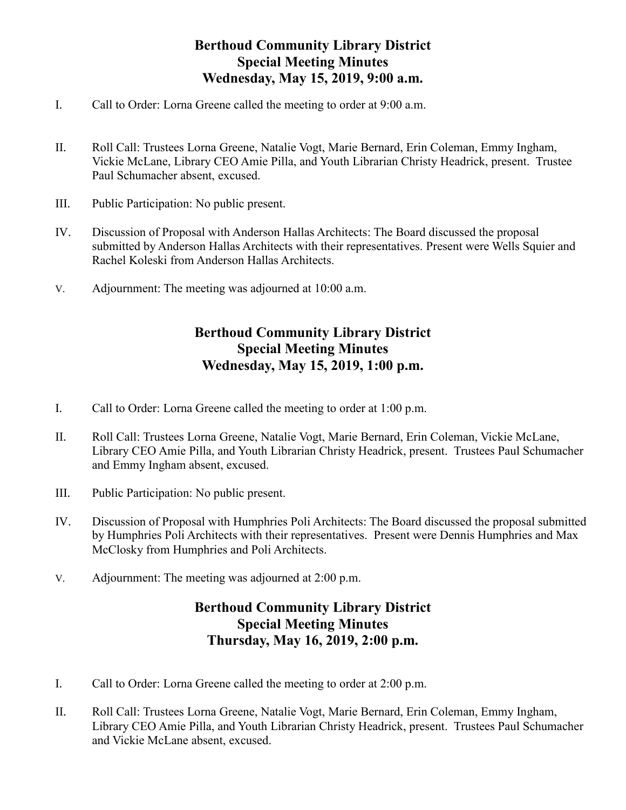## **Berthoud Community Library District Special Meeting Minutes Wednesday, May 15, 2019, 9:00 a.m.**

- I. Call to Order: Lorna Greene called the meeting to order at 9:00 a.m.
- II. Roll Call: Trustees Lorna Greene, Natalie Vogt, Marie Bernard, Erin Coleman, Emmy Ingham, Vickie McLane, Library CEO Amie Pilla, and Youth Librarian Christy Headrick, present. Trustee Paul Schumacher absent, excused.
- III. Public Participation: No public present.
- IV. Discussion of Proposal with Anderson Hallas Architects: The Board discussed the proposal submitted by Anderson Hallas Architects with their representatives. Present were Wells Squier and Rachel Koleski from Anderson Hallas Architects.
- V. Adjournment: The meeting was adjourned at 10:00 a.m.

## **Berthoud Community Library District Special Meeting Minutes Wednesday, May 15, 2019, 1:00 p.m.**

- I. Call to Order: Lorna Greene called the meeting to order at 1:00 p.m.
- II. Roll Call: Trustees Lorna Greene, Natalie Vogt, Marie Bernard, Erin Coleman, Vickie McLane, Library CEO Amie Pilla, and Youth Librarian Christy Headrick, present. Trustees Paul Schumacher and Emmy Ingham absent, excused.
- III. Public Participation: No public present.
- IV. Discussion of Proposal with Humphries Poli Architects: The Board discussed the proposal submitted by Humphries Poli Architects with their representatives. Present were Dennis Humphries and Max McClosky from Humphries and Poli Architects.
- V. Adjournment: The meeting was adjourned at 2:00 p.m.

## **Berthoud Community Library District Special Meeting Minutes Thursday, May 16, 2019, 2:00 p.m.**

- I. Call to Order: Lorna Greene called the meeting to order at 2:00 p.m.
- II. Roll Call: Trustees Lorna Greene, Natalie Vogt, Marie Bernard, Erin Coleman, Emmy Ingham, Library CEO Amie Pilla, and Youth Librarian Christy Headrick, present. Trustees Paul Schumacher and Vickie McLane absent, excused.